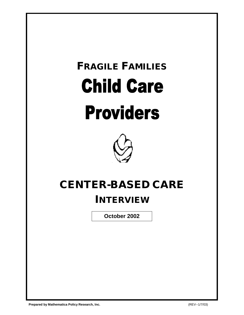# FRAGILE FAMILIES **Child Care Providers**



# CENTER-BASED CARE INTERVIEW

**October 2002**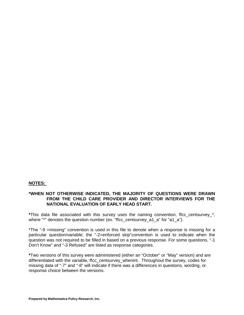#### **NOTES:**

#### **\*WHEN NOT OTHERWISE INDICATED, THE MAJORITY OF QUESTIONS WERE DRAWN FROM THE CHILD CARE PROVIDER AND DIRECTOR INTERVIEWS FOR THE NATIONAL EVALUATION OF EARLY HEAD START.**

**\***This data file associated with this survey uses the naming convention, ffcc\_centsurvey\_\*, where "\*" denotes the question number (ex. "ffcc\_centsurvey\_a1\_a" for "a1\_a").

\*The "-9 =missing" convention is used in this file to denote when a response is missing for a particular question/variable; the "-2=enforced skip"convention is used to indicate when the question was not required to be filled in based on a previous response. For some questions, "-1 Don't Know" and "-3 Refused" are listed as response categories.

**\***Two versions of this survey were administered (either an "October" or "May" version) and are differentiated with the variable, ffcc\_centsurvey\_whenint. Throughout the survey, codes for missing data of "-7" and "-8" will indicate if there was a differences in questions, wording, or response choice between the versions.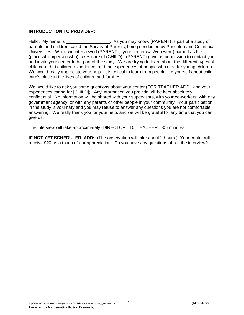#### **INTRODUCTION TO PROVIDER:**

Hello. My name is \_\_\_\_\_\_\_\_\_\_\_\_\_\_\_\_\_\_\_. As you may know, (PARENT) is part of a study of parents and children called the Survey of Parents, being conducted by Princeton and Columbia Universities. When we interviewed (PARENT), (your center was/you were) named as the (place which/person who) takes care of (CHILD). (PARENT) gave us permission to contact you and invite your center to be part of the study. We are trying to learn about the different types of child care that children experience, and the experiences of people who care for young children. We would really appreciate your help. It is critical to learn from people like yourself about child care's place in the lives of children and families.

We would like to ask you some questions about your center (FOR TEACHER ADD: and your experiences caring for [CHILD]). Any information you provide will be kept absolutely confidential. No information will be shared with your supervisors, with your co-workers, with any government agency, or with any parents or other people in your community. Your participation in the study is voluntary and you may refuse to answer any questions you are not comfortable answering. We really thank you for your help, and we will be grateful for any time that you can give us.

The interview will take approximately (DIRECTOR: 10, TEACHER: 30) minutes.

**IF NOT YET SCHEDULED, ADD:** (The observation will take about 2 hours.) Your center will receive \$20 as a token of our appreciation. Do you have any questions about the interview?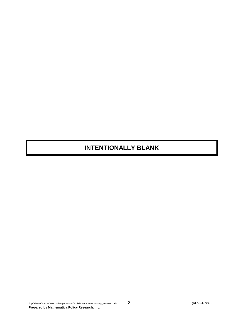# **INTENTIONALLY BLANK**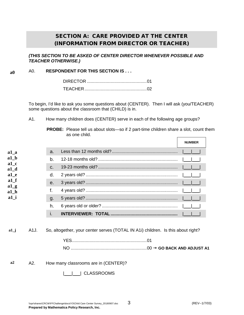# SECTION A: CARE PROVIDED AT THE CENTER (INFORMATION FROM DIRECTOR OR TEACHER)

*(THIS SECTION TO BE ASKED OF CENTER DIRECTOR WHENEVER POSSIBLE AND TEACHER OTHERWISE.)*

A0. **RESPONDENT FOR THIS SECTION IS . . .**

**a0**

To begin, I'd like to ask you some questions about (CENTER). Then I will ask (you/TEACHER) some questions about the classroom that (CHILD) is in.

A1. How many children does (CENTER) serve in each of the following age groups?

**PROBE:** Please tell us about slots—so if 2 part-time children share a slot, count them as one child.

| a <sub>z</sub> |  |
|----------------|--|
| $h_{-}$        |  |
| $\mathsf{C}$   |  |
| d.             |  |
| е.             |  |
| f.             |  |
| g.             |  |
| h.             |  |
| i.             |  |
|                |  |

A1J. So, altogether, your center serves (TOTAL IN A1i) children. Is this about right? **a1\_j**

| NO. |  |
|-----|--|

A2. How many classrooms are in (CENTER)? **a2**

| | | CLASSROOMS

**NUMBER**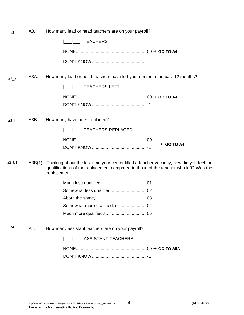| а3 | A3. | How many lead or head teachers are on your payroll? |
|----|-----|-----------------------------------------------------|
|----|-----|-----------------------------------------------------|

|  | TEACHERS |
|--|----------|
|--|----------|

NONE.........................................................00 **GO TO A4**

DON'T KNOW............................................-1

A3A. How many lead or head teachers have left your center in the past 12 months? **a3\_a**

| | | TEACHERS LEFT

A3B. How many have been replaced? **a3\_b**

| | | TEACHERS REPLACED

|  | $\vdash$ GO TO A4 |
|--|-------------------|

A3B(1). Thinking about the last time your center filled a teacher vacancy, how did you feel the qualifications of the replacement compared to those of the teacher who left? Was the replacement . . . **a3\_b1**

A4. How many assistant teachers are on your payroll? **a4**

| | | ASSISTANT TEACHERS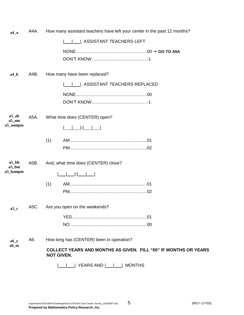A4A. How many assistant teachers have left your center in the past 12 months? **a4\_a**

| | | ASSISTANT TEACHERS LEFT

A4B. How many have been replaced? **a4\_b**

> | | | ASSISTANT TEACHERS REPLACED NONE.........................................................00 DON'T KNOW............................................-1

A5A. What time does (CENTER) open? **a5\_ah a5\_am**

**a5\_aampm**

| | |**:**| | |

| 11 |  |
|----|--|
|    |  |

| a5 bh | A5B. | And, what time does (CENTER) close? |
|-------|------|-------------------------------------|
| a5 bm |      |                                     |

**a5\_bampm**

| | |**:**| | |

| (1 |  |
|----|--|
|    |  |

A5C. Are you open on the weekends? **a5\_c**

A6. How long has (CENTER) been in operation? **a6\_y**

**a6\_m**

**COLLECT YEARS AND MONTHS AS GIVEN. FILL "00" IF MONTHS OR YEARS NOT GIVEN.**

| | | | YEARS AND | | | MONTHS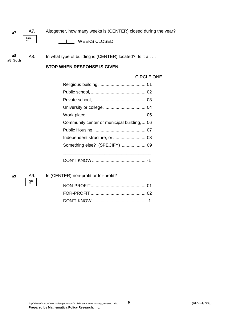

**a8 a8\_9oth**

A8. In what type of building is (CENTER) located? Is it a . . .

#### **STOP WHEN RESPONSE IS GIVEN.**

#### CIRCLE ONE

| Community center or municipal building,06 |
|-------------------------------------------|
|                                           |
|                                           |
|                                           |
|                                           |

**a9**

**PSID-CD**

A9. Is (CENTER) non-profit or for-profit?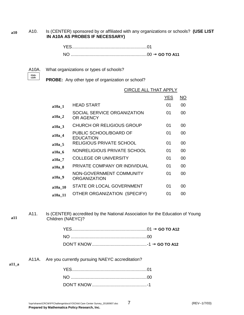A10. Is (CENTER) sponsored by or affiliated with any organizations or schools? **(USE LIST IN A10A AS PROBES IF NECESSARY)**

A10A. What organizations or types of schools?

**PROBE:** Any other type of organization or school?

|          | <b>CIRCLE ALL THAT APPLY</b>               |            |     |
|----------|--------------------------------------------|------------|-----|
|          |                                            | <b>YES</b> | NO. |
| a10a 1   | <b>HEAD START</b>                          | 01         | 00  |
| a10a 2   | SOCIAL SERVICE ORGANIZATION<br>OR AGENCY   | 01         | 00  |
| $a10a$ 3 | <b>CHURCH OR RELIGIOUS GROUP</b>           | 01         | 00  |
| $a10a$ 4 | PUBLIC SCHOOL/BOARD OF<br><b>EDUCATION</b> | 01         | 00  |
| $a10a_5$ | RELIGIOUS PRIVATE SCHOOL                   | 01         | 00  |
| a10a 6   | NONRELIGIOUS PRIVATE SCHOOL                | 01         | 00  |
| a10a 7   | <b>COLLEGE OR UNIVERSITY</b>               | 01         | 00  |
| a10a 8   | PRIVATE COMPANY OR INDIVIDUAL              | 01         | 00  |
| a10a 9   | NON-GOVERNMENT COMMUNITY<br>ORGANIZATION   | 01         | 00  |
| a10a 10  | STATE OR LOCAL GOVERNMENT                  | 01         | 00  |
| a10a 11  | OTHER ORGANIZATION (SPECIFY)               | 01         | 00  |

A11. Is (CENTER) accredited by the National Association for the Education of Young Children (NAEYC)?

A11A. Are you currently pursuing NAEYC accreditation?

\\opr\shares\CRCW\FFChallenge\docs\Y3\Child Care Center Survey\_20180907.doc 7 (REV--1/7/03) **Prepared by Mathematica Policy Research, Inc.**

**a10**

**PSID-CD/R**

**a11**

**a11\_a**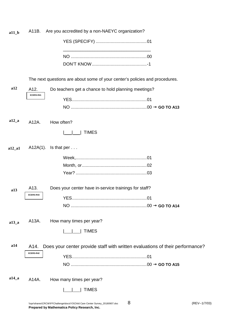A11B. Are you accredited by a non-NAEYC organization? **a11\_b**

|          |                   | The next questions are about some of your center's policies and procedures.   |
|----------|-------------------|-------------------------------------------------------------------------------|
| a12      | A12.<br>ECERS-R41 | Do teachers get a chance to hold planning meetings?                           |
|          |                   |                                                                               |
|          |                   |                                                                               |
| $a12_a$  | A12A.             | How often?                                                                    |
|          |                   | <b>TIMES</b>                                                                  |
| $a12_a1$ |                   | $A12A(1)$ . Is that per                                                       |
|          |                   |                                                                               |
|          |                   |                                                                               |
|          |                   |                                                                               |
| a13      | A13.              | Does your center have in-service trainings for staff?                         |
|          | ECERS-R43         |                                                                               |
|          |                   |                                                                               |
| $a13_a$  | A13A.             | How many times per year?                                                      |
|          |                   | <b>TIMES</b>                                                                  |
| a14      | A14.              | Does your center provide staff with written evaluations of their performance? |
|          | ECERS-R42         |                                                                               |
|          |                   |                                                                               |
| $a14_a$  | A14A.             | How many times per year?                                                      |
|          |                   | <b>TIMES</b>                                                                  |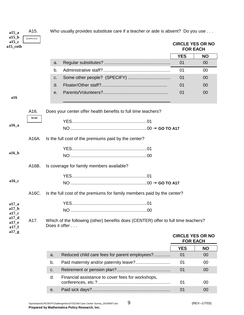| $a15_a$<br>$a15_b$                       | A15.        |    | Who usually provides substitute care if a teacher or aide is absent? Do you use                     |                                            |           |
|------------------------------------------|-------------|----|-----------------------------------------------------------------------------------------------------|--------------------------------------------|-----------|
| $a15$ c<br>a15_coth                      | ECERS-R14   |    |                                                                                                     | <b>CIRCLE YES OR NO</b><br><b>FOR EACH</b> |           |
|                                          |             |    |                                                                                                     | <b>YES</b>                                 | <b>NO</b> |
|                                          |             | a. |                                                                                                     | 01                                         | 00        |
|                                          |             | b. |                                                                                                     | 01                                         | 00        |
|                                          |             | C. |                                                                                                     | 01                                         | 00        |
|                                          |             | d. |                                                                                                     | 01                                         | 00        |
|                                          |             | е. |                                                                                                     | 01                                         | 00        |
| a16                                      |             |    |                                                                                                     |                                            |           |
|                                          | A16.        |    |                                                                                                     |                                            |           |
|                                          | <b>WLWS</b> |    | Does your center offer health benefits to full time teachers?                                       |                                            |           |
| $a16_a$                                  |             |    |                                                                                                     |                                            |           |
|                                          |             |    |                                                                                                     |                                            |           |
|                                          | A16A.       |    | Is the full cost of the premiums paid by the center?                                                |                                            |           |
|                                          |             |    |                                                                                                     |                                            |           |
| $a16_b$                                  |             |    |                                                                                                     |                                            |           |
|                                          | A16B.       |    | Is coverage for family members available?                                                           |                                            |           |
|                                          |             |    |                                                                                                     |                                            |           |
| $a16_c$                                  |             |    |                                                                                                     |                                            |           |
|                                          | A16C.       |    | Is the full cost of the premiums for family members paid by the center?                             |                                            |           |
| $a17_a$                                  |             |    |                                                                                                     |                                            |           |
| $a17_b$<br>$a17_c$                       |             |    |                                                                                                     |                                            |           |
| $a17_d$<br>$a17$ <sup>e</sup><br>$a17_f$ | A17.        |    | Which of the following (other) benefits does (CENTER) offer to full time teachers?<br>Does it offer |                                            |           |
| $a17_g$                                  |             |    |                                                                                                     | <b>CIRCLE YES OR NO</b><br><b>FOR EACH</b> |           |

|    |                                                   | <u>UINULL TLU UN NU</u><br><b>FOR EACH</b> |           |
|----|---------------------------------------------------|--------------------------------------------|-----------|
|    |                                                   | YES                                        | <b>NO</b> |
| a. | Reduced child care fees for parent employees?     | 01                                         | 00        |
| b. |                                                   | 01                                         | 00        |
| C. |                                                   | 01                                         | 00        |
| d. | Financial assistance to cover fees for workshops, | 01                                         | OΟ        |
| е. |                                                   |                                            |           |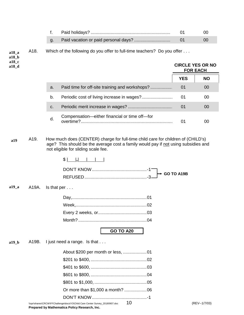|                    |       | f. |                                                                                                                                                                                                               | 01              | 00                      |
|--------------------|-------|----|---------------------------------------------------------------------------------------------------------------------------------------------------------------------------------------------------------------|-----------------|-------------------------|
|                    |       | g. |                                                                                                                                                                                                               | 01              | 00                      |
| $a18_a$<br>$a18_b$ | A18.  |    | Which of the following do you offer to full-time teachers? Do you offer                                                                                                                                       |                 |                         |
| a18_c<br>$a18_d$   |       |    |                                                                                                                                                                                                               | <b>FOR EACH</b> | <b>CIRCLE YES OR NO</b> |
|                    |       |    |                                                                                                                                                                                                               | <b>YES</b>      | <b>NO</b>               |
|                    |       | a. | Paid time for off-site training and workshops?                                                                                                                                                                | 01              | 00                      |
|                    |       | b. |                                                                                                                                                                                                               | 01              | 00                      |
|                    |       | C. |                                                                                                                                                                                                               | 01              | 00                      |
|                    |       | d. | Compensation-either financial or time off-for                                                                                                                                                                 | 01              | 00                      |
| a19                | A19.  |    | How much does (CENTER) charge for full-time child care for children of (CHILD's)<br>age? This should be the average cost a family would pay if not using subsidies and<br>not eligible for sliding scale fee. |                 |                         |
|                    |       |    | \$∣                                                                                                                                                                                                           |                 |                         |
|                    |       |    |                                                                                                                                                                                                               |                 |                         |
|                    |       |    |                                                                                                                                                                                                               | GO TO A19B      |                         |
| $a19_a$            | A19A. |    | Is that per                                                                                                                                                                                                   |                 |                         |
|                    |       |    |                                                                                                                                                                                                               |                 |                         |
|                    |       |    |                                                                                                                                                                                                               |                 |                         |
|                    |       |    |                                                                                                                                                                                                               |                 |                         |
|                    |       |    |                                                                                                                                                                                                               |                 |                         |
|                    |       |    | <b>GO TO A20</b>                                                                                                                                                                                              |                 |                         |
| $a19_b$            | A19B. |    | I just need a range. Is that                                                                                                                                                                                  |                 |                         |
|                    |       |    |                                                                                                                                                                                                               |                 |                         |
|                    |       |    |                                                                                                                                                                                                               |                 |                         |
|                    |       |    |                                                                                                                                                                                                               |                 |                         |
|                    |       |    |                                                                                                                                                                                                               |                 |                         |

\$801 to \$1,000, ..........................................05 Or more than \$1,000 a month? ..................06 DON'T KNOW............................................-1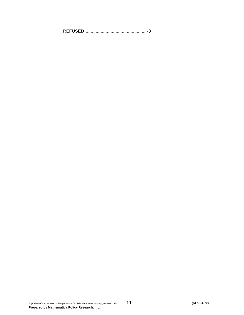REFUSED..................................................-3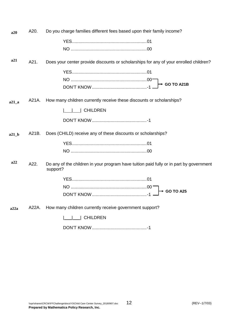A20. Do you charge families different fees based upon their family income? YES............................................................01 NO .............................................................00 A21. Does your center provide discounts or scholarships for any of your enrolled children? YES............................................................01 NO .............................................................00 DON'T KNOW............................................-1 A21A. How many children currently receive these discounts or scholarships? | | | CHILDREN DON'T KNOW............................................-1 A21B. Does (CHILD) receive any of these discounts or scholarships? YES............................................................01 NO .............................................................00 A22. Do any of the children in your program have tuition paid fully or in part by government support? YES............................................................01 NO .............................................................00 DON'T KNOW............................................-1 A22A. How many children currently receive government support? | | | CHILDREN **GO TO A21B**  $\mapsto$  GO TO A25 **a20 a21 a21\_a a21\_b a22 a22a**

DON'T KNOW............................................-1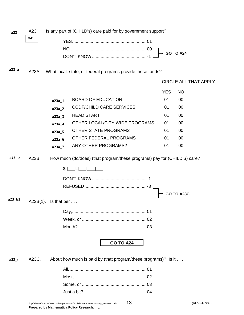A23. Is any part of (CHILD's) care paid for by government support? **a23**

| YES……………………………………………………01 |  |
|---------------------------|--|
|                           |  |
|                           |  |

A23A. What local, state, or federal programs provide these funds? **a23\_a**

|          |                                 |            |           | <b>CIRCLE ALL THAT APPLY</b> |
|----------|---------------------------------|------------|-----------|------------------------------|
|          |                                 | <u>YES</u> | <u>NO</u> |                              |
| $a23a$ 1 | <b>BOARD OF EDUCATION</b>       | 01         | 00        |                              |
| $a23a$ 2 | <b>CCDF/CHILD CARE SERVICES</b> | 01         | 00        |                              |
| $a23a$ 3 | <b>HEAD START</b>               | 01         | 00        |                              |
| $a23a$ 4 | OTHER LOCAL/CITY WIDE PROGRAMS  | 01         | 00        |                              |
| $a23a$ 5 | <b>OTHER STATE PROGRAMS</b>     | 01         | $00 \,$   |                              |
| $a23a$ 6 | OTHER FEDERAL PROGRAMS          | 01         | 00        |                              |
| $a23a$ 7 | ANY OTHER PROGRAMS?             | 01         | 00        |                              |
|          |                                 |            |           |                              |

A23B. How much (do/does) (that program/these programs) pay for (CHILD'S) care?  **a23\_b**

|                         | $\frac{1}{2}$ |                  |                   |
|-------------------------|---------------|------------------|-------------------|
|                         |               |                  |                   |
|                         |               |                  |                   |
|                         |               |                  | <b>GO TO A23C</b> |
| $A23B(1)$ . Is that per |               |                  |                   |
|                         |               |                  |                   |
|                         |               |                  |                   |
|                         |               |                  |                   |
|                         |               |                  |                   |
|                         |               | <b>GO TO A24</b> |                   |

A23C. About how much is paid by (that program/these programs)? Is it . . . **a23\_c**

**a23\_b1**

**GUP**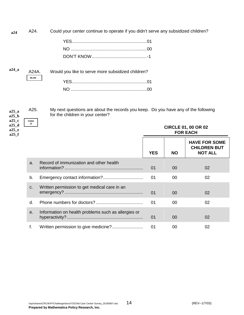A24. Could your center continue to operate if you didn't serve any subsidized children? **a24**

|             | a <sup>24_a</sup> A24A. Would you like to serve more subsidized children? |  |
|-------------|---------------------------------------------------------------------------|--|
| <b>WLWS</b> |                                                                           |  |
|             |                                                                           |  |

**a25\_a a25\_b a25\_c a25\_d a25\_e**  $a25$ <sup> $f$ </sup>

**ITERS**

A25. My next questions are about the records you keep. Do you have any of the following for the children in your center?

| 12             |                                                     | <b>CIRCLE 01, 00 OR 02</b><br><b>FOR EACH</b> |           |                                                               |
|----------------|-----------------------------------------------------|-----------------------------------------------|-----------|---------------------------------------------------------------|
|                |                                                     | <b>YES</b>                                    | <b>NO</b> | <b>HAVE FOR SOME</b><br><b>CHILDREN BUT</b><br><b>NOT ALL</b> |
| a.             | Record of immunization and other health             | 01                                            | 00        | 02                                                            |
| b.             |                                                     | 01                                            | 00        | 02                                                            |
| C <sub>1</sub> | Written permission to get medical care in an        | 01                                            | 00        | 02                                                            |
| d.             |                                                     | 01                                            | 00        | 02                                                            |
| $e$ .          | Information on health problems such as allergies or | 01                                            | 00        | 02                                                            |
| f.             | Written permission to give medicine?                | 01                                            | 00        | 02                                                            |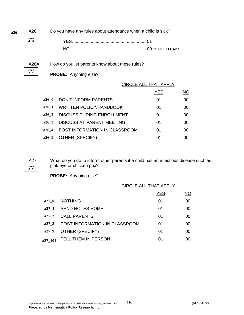A26. Do you have any rules about attendance when a child is sick?



**ITERS 12 - 5.2**

**a26**

A26A. How do you let parents know about these rules?

**PROBE:** Anything else?

|       |                                      | <b>CIRCLE ALL THAT APPLY</b> |           |
|-------|--------------------------------------|------------------------------|-----------|
|       |                                      | <b>YES</b>                   | <u>NO</u> |
| a26_0 | DON'T INFORM PARENTS                 | 01                           | 00        |
| a26 1 | WRITTEN POLICY/HANDBOOK              | 01                           | 00        |
|       | a26_2 DISCUSS DURING ENROLLMENT      | 01                           | 00        |
| a26 3 | DISCUSS AT PARENT MEETING            | 01                           | 00        |
| a26 4 | <b>POST INFORMATION IN CLASSROOM</b> | 01                           | 00        |
| a26_9 | OTHER (SPECIFY)                      | 01                           | 00        |
|       |                                      |                              |           |

**ITERS 12 - 3.4**

A27. What do you do to inform other parents if a child has an infectious disease such as pink eye or chicken pox?

**PROBE:** Anything else?

|                  |                               | <b>CIRCLE ALL THAT APPLY</b> |           |
|------------------|-------------------------------|------------------------------|-----------|
|                  |                               | <b>YES</b>                   | <u>NO</u> |
| a270             | <b>NOTHING</b>                | 01                           | 00        |
| a27 <sub>1</sub> | <b>SEND NOTES HOME</b>        | 01                           | 00        |
| a272             | <b>CALL PARENTS</b>           | 01                           | 00        |
| a273             | POST INFORMATION IN CLASSROOM | 01                           | 00        |
| $a27_9$          | <b>OTHER (SPECIFY)</b>        | 01                           | 00        |
| a27 101          | TELL THEM IN PERSON           | 01                           | იი        |
|                  |                               |                              |           |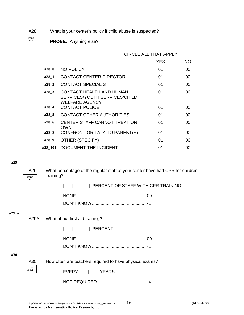A28. What is your center's policy if child abuse is suspected?

| ×<br>۰. |  |
|---------|--|
|         |  |
| ×<br>۰. |  |

**PROBE:** Anything else?

|                  | <b>CIRCLE ALL THAT APPLY</b>                                                |            |     |
|------------------|-----------------------------------------------------------------------------|------------|-----|
|                  |                                                                             | <b>YES</b> | NO. |
| a280             | <b>NO POLICY</b>                                                            | 01         | 00  |
| a28 1            | <b>CONTACT CENTER DIRECTOR</b>                                              | 01         | 00  |
| $a28_2$          | <b>CONTACT SPECIALIST</b>                                                   | 01         | 00  |
| a28 3            | CONTACT HEALTH AND HUMAN<br>SERVICES/YOUTH SERVICES/CHILD<br>WELFARE AGENCY | 01         | 00  |
| a284             | <b>CONTACT POLICE</b>                                                       | 01         | 00  |
| a28 <sub>5</sub> | <b>CONTACT OTHER AUTHORITIES</b>                                            | 01         | 00  |
| a286             | CENTER STAFF CANNOT TREAT ON<br><b>OWN</b>                                  | 01         | 00  |
| a28 8            | CONFRONT OR TALK TO PARENT(S)                                               | 01         | 00  |
| $a28_9$          | <b>OTHER (SPECIFY)</b>                                                      | 01         | 00  |
| a28 101          | DOCUMENT THE INCIDENT                                                       | 01         | 00  |

#### **a29**

**ITERS 14**

A29. What percentage of the regular staff at your center have had CPR for children training?

| | | | | PERCENT OF STAFF WITH CPR TRAINING

| NONE |  |
|------|--|
|      |  |

#### **a29\_a**

A29A. What about first aid training?

| | | | PERCENT

#### **a30**

**ITERS 12 - 1.2**

A30. How often are teachers required to have physical exams?

EVERY | | | YEARS

NOT REQUIRED........................................-4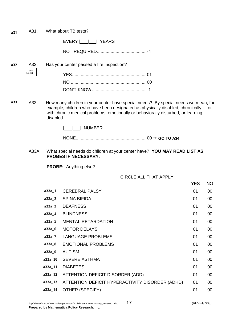| A31.<br><b>a</b> 31 | What about TB tests? |
|---------------------|----------------------|
|---------------------|----------------------|

**a32**

**a33**

|                            |           | EVERY  <br>I I YEARS                                                                                                                                                                                                                                              |            |           |
|----------------------------|-----------|-------------------------------------------------------------------------------------------------------------------------------------------------------------------------------------------------------------------------------------------------------------------|------------|-----------|
|                            |           |                                                                                                                                                                                                                                                                   |            |           |
| A32.                       |           | Has your center passed a fire inspection?                                                                                                                                                                                                                         |            |           |
| <b>ITERS</b><br>$14 - 3.2$ |           |                                                                                                                                                                                                                                                                   |            |           |
|                            |           |                                                                                                                                                                                                                                                                   |            |           |
|                            |           |                                                                                                                                                                                                                                                                   |            |           |
| A33.                       | disabled. | How many children in your center have special needs? By special needs we mean, for<br>example, children who have been designated as physically disabled, chronically ill, or<br>with chronic medical problems, emotionally or behaviorally disturbed, or learning |            |           |
|                            |           | <b>NUMBER</b>                                                                                                                                                                                                                                                     |            |           |
|                            |           |                                                                                                                                                                                                                                                                   |            |           |
| A33A.                      |           | What special needs do children at your center have? YOU MAY READ LIST AS<br><b>PROBES IF NECESSARY.</b>                                                                                                                                                           |            |           |
|                            |           | <b>PROBE:</b> Anything else?                                                                                                                                                                                                                                      |            |           |
|                            |           | <b>CIRCLE ALL THAT APPLY</b>                                                                                                                                                                                                                                      |            |           |
|                            |           |                                                                                                                                                                                                                                                                   | <u>YES</u> | <u>NO</u> |
|                            | $a33a_1$  | <b>CEREBRAL PALSY</b>                                                                                                                                                                                                                                             | 01         | 00        |
|                            | a33a 2    | <b>SPINA BIFIDA</b>                                                                                                                                                                                                                                               | 01         | 00        |
|                            | $a33a_3$  | <b>DEAFNESS</b>                                                                                                                                                                                                                                                   | 01         | 00        |
|                            | $a33a_4$  | <b>BLINDNESS</b>                                                                                                                                                                                                                                                  | 01         | 00        |
|                            | $a33a_5$  | <b>MENTAL RETARDATION</b>                                                                                                                                                                                                                                         | 01         | 00        |
|                            | $a33a_6$  | <b>MOTOR DELAYS</b>                                                                                                                                                                                                                                               | 01         | 00        |
|                            | $a33a_7$  | <b>LANGUAGE PROBLEMS</b>                                                                                                                                                                                                                                          | 01         | 00        |
|                            | $a33a_8$  | <b>EMOTIONAL PROBLEMS</b>                                                                                                                                                                                                                                         | 01         | 00        |
|                            | $a33a_9$  | <b>AUTISM</b>                                                                                                                                                                                                                                                     | 01         | 00        |
|                            | $a33a_10$ | <b>SEVERE ASTHMA</b>                                                                                                                                                                                                                                              | 01         | 00        |
|                            | a33a_11   | <b>DIABETES</b>                                                                                                                                                                                                                                                   | 01         | 00        |
|                            | $a33a_12$ | ATTENTION DEFICIT DISORDER (ADD)                                                                                                                                                                                                                                  | 01         | 00        |
|                            | $a33a_13$ | ATTENTION DEFICIT HYPERACTIVITY DISORDER (ADHD)                                                                                                                                                                                                                   | 01         | 00        |
|                            | $a33a_14$ | <b>OTHER (SPECIFY)</b>                                                                                                                                                                                                                                            | 01         | 00        |

\\opr\shares\CRCW\FFChallenge\docs\Y3\Child Care Center Survey\_20180907.doc 17 (REV--1/7/03) **Prepared by Mathematica Policy Research, Inc.**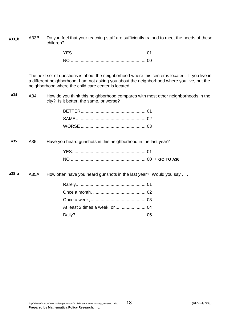A33B. Do you feel that your teaching staff are sufficiently trained to meet the needs of these children? **a33\_b**

The next set of questions is about the neighborhood where this center is located. If you live in a different neighborhood, I am not asking you about the neighborhood where you live, but the neighborhood where the child care center is located.

A34. How do you think this neighborhood compares with most other neighborhoods in the city? Is it better, the same, or worse? **a34**

A35. Have you heard gunshots in this neighborhood in the last year? **a35**

| NO. |  |
|-----|--|

A35A. How often have you heard gunshots in the last year? Would you say ... **a35\_a**

\\opr\shares\CRCW\FFChallenge\docs\Y3\Child Care Center Survey\_20180907.doc 18 (REV--1/7/03) **Prepared by Mathematica Policy Research, Inc.**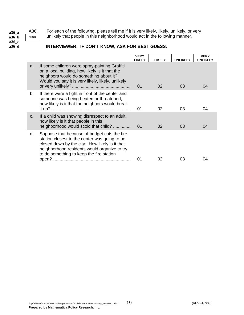| a36 a | A36   |
|-------|-------|
| a36 b | PHDCN |
| a36c  |       |
| a36 d |       |

A36. For each of the following, please tell me if it is very likely, likely, unlikely, or very unlikely that people in this neighborhood would act in the following manner.

**a36\_d**

### **INTERVIEWER: IF DON'T KNOW, ASK FOR BEST GUESS.**

|    |                                                                                                                                                                                                                                             | <b>VERY</b><br><b>LIKELY</b> | <b>LIKELY</b> | <b>UNLIKELY</b> | <b>VERY</b><br><b>UNLIKELY</b> |
|----|---------------------------------------------------------------------------------------------------------------------------------------------------------------------------------------------------------------------------------------------|------------------------------|---------------|-----------------|--------------------------------|
| a. | If some children were spray-painting Graffiti<br>on a local building, how likely is it that the<br>neighbors would do something about it?<br>Would you say it is very likely, likely, unlikely                                              | 01                           | 02            | 03              | 04                             |
| b. | If there were a fight in front of the center and<br>someone was being beaten or threatened,<br>how likely is it that the neighbors would break                                                                                              | 01                           | 02            | 03              | 04                             |
| C. | If a child was showing disrespect to an adult,<br>how likely is it that people in this<br>neighborhood would scold that child?                                                                                                              | 01                           | 02            | 03              | 04                             |
| d. | Suppose that because of budget cuts the fire<br>station closest to the center was going to be<br>closed down by the city. How likely is it that<br>neighborhood residents would organize to try<br>to do something to keep the fire station | 01                           | 02            | 03              | 04                             |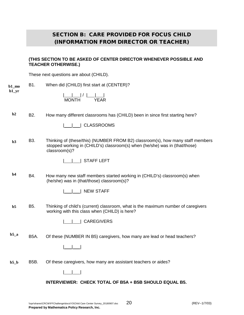# SECTION B: CARE PROVIDED FOR FOCUS CHILD (INFORMATION FROM DIRECTOR OR TEACHER)

#### **(THIS SECTION TO BE ASKED OF CENTER DIRECTOR WHENEVER POSSIBLE AND TEACHER OTHERWISE.)**

These next questions are about (CHILD).

- B1. When did (CHILD) first start at (CENTER)? **b1\_mo**
- **b1\_yr**

|\_\_\_|\_\_\_| / |\_\_\_|\_\_\_| MONTH YEAR

B2. How many different classrooms has (CHILD) been in since first starting here? **b2**

| | | CLASSROOMS

B3. Thinking of (these/this) (NUMBER FROM B2) classroom(s), how many staff members stopped working in (CHILD's) classroom(s) when (he/she) was in (that/those) classroom(s)? **b3**

|**|| || STAFF LEFT** 

B4. How many new staff members started working in (CHILD's) classroom(s) when (he/she) was in (that/those) classroom(s)? **b4**

| | | NEW STAFF

B5. Thinking of child's (current) classroom, what is the maximum number of caregivers working with this class when (CHILD) is here? **b5**

| | | CAREGIVERS

B5A. Of these (NUMBER IN B5) caregivers, how many are lead or head teachers? **b5\_a**

 $|$   $|$   $|$   $|$   $|$   $|$   $|$ 

B5B. Of these caregivers, how many are assistant teachers or aides? **b5\_b**

 $|$   $|$   $|$   $|$   $|$   $|$ 

#### **INTERVIEWER: CHECK TOTAL OF B5A + B5B SHOULD EQUAL B5.**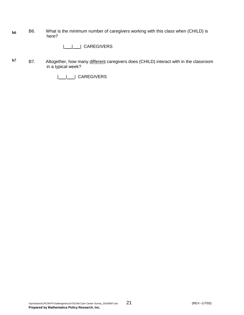B6. What is the minimum number of caregivers working with this class when (CHILD) is here? **b6**

|\_\_|\_\_| CAREGIVERS

B7. Altogether, how many different caregivers does (CHILD) interact with in the classroom in a typical week? **b7**

| | | | CAREGIVERS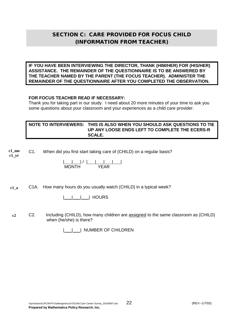# SECTION C: CARE PROVIDED FOR FOCUS CHILD (INFORMATION FROM TEACHER)

**IF YOU HAVE BEEN INTERVIEWING THE DIRECTOR, THANK (HIM/HER) FOR (HIS/HER) ASSISTANCE. THE REMAINDER OF THE QUESTIONNAIRE IS TO BE ANSWERED BY THE TEACHER NAMED BY THE PARENT (THE FOCUS TEACHER). ADMINISTER THE REMAINDER OF THE QUESTIONNAIRE AFTER YOU COMPLETED THE OBSERVATION.**

#### **FOR FOCUS TEACHER READ IF NECESSARY:**

Thank you for taking part in our study. I need about 20 more minutes of your time to ask you some questions about your classroom and your experiences as a child care provider.

#### **NOTE TO INTERVIEWERS: THIS IS ALSO WHEN YOU SHOULD ASK QUESTIONS TO TIE UP ANY LOOSE ENDS LEFT TO COMPLETE THE ECERS-R SCALE.**

C1. When did you first start taking care of (CHILD) on a regular basis? **c1\_mo**

**c1\_yr**



C1A. How many hours do you usually watch (CHILD) in a typical week? **c1\_a**

| | | | HOURS

C2. Including (CHILD), how many children are assigned to the same classroom as (CHILD) when (he/she) is there? **c2**

| | | NUMBER OF CHILDREN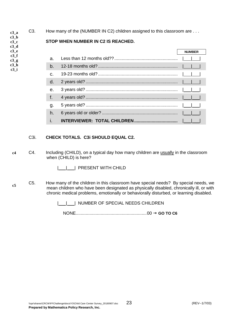**c3\_a c3\_b**

**c3\_c c3\_d**

- **c3\_e**
- **c3\_f**

#### **c3\_g c3\_h**

**c3\_i**

C3. How many of the (NUMBER IN C2) children assigned to this classroom are ...

# **STOP WHEN NUMBER IN C2 IS REACHED.**

|       | <b>NUMBER</b> |
|-------|---------------|
| a.    |               |
| $b$ . |               |
| C.    |               |
| d.    |               |
| е.    |               |
| f.    |               |
| g.    |               |
| h.    |               |
|       |               |

# C3i. **CHECK TOTALS. C3i SHOULD EQUAL C2.**

C4. Including (CHILD), on a typical day how many children are usually in the classroom when (CHILD) is here? **c4**

| | | PRESENT WITH CHILD

C5. How many of the children in this classroom have special needs? By special needs, we mean children who have been designated as physically disabled, chronically ill, or with chronic medical problems, emotionally or behaviorally disturbed, or learning disabled. **c5**

| | | | | NUMBER OF SPECIAL NEEDS CHILDREN

NONE.........................................................00 **GO TO C6**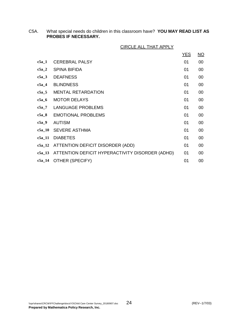C5A. What special needs do children in this classroom have? **YOU MAY READ LIST AS PROBES IF NECESSARY.**

|         |                                                 | <b>YES</b> | NO |
|---------|-------------------------------------------------|------------|----|
| $c5a$ 1 | <b>CEREBRAL PALSY</b>                           | 01         | 00 |
| $c5a_2$ | <b>SPINA BIFIDA</b>                             | 01         | 00 |
| $c5a$ 3 | <b>DEAFNESS</b>                                 | 01         | 00 |
| $c5a_4$ | <b>BLINDNESS</b>                                | 01         | 00 |
| $c5a$ 5 | <b>MENTAL RETARDATION</b>                       | 01         | 00 |
| $c5a_6$ | <b>MOTOR DELAYS</b>                             | 01         | 00 |
| $c5a_7$ | <b>LANGUAGE PROBLEMS</b>                        | 01         | 00 |
| $c5a_8$ | <b>EMOTIONAL PROBLEMS</b>                       | 01         | 00 |
| $c5a_9$ | <b>AUTISM</b>                                   | 01         | 00 |
| c5a_10  | <b>SEVERE ASTHMA</b>                            | 01         | 00 |
| c5a 11  | <b>DIABETES</b>                                 | 01         | 00 |
|         | c5a_12 ATTENTION DEFICIT DISORDER (ADD)         | 01         | 00 |
| c5a 13  | ATTENTION DEFICIT HYPERACTIVITY DISORDER (ADHD) | 01         | 00 |
| c5a_14  | <b>OTHER (SPECIFY)</b>                          | 01         | 00 |

#### CIRCLE ALL THAT APPLY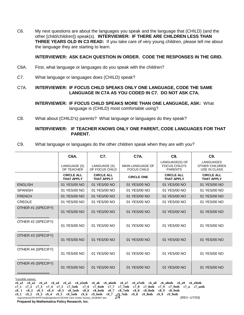C6. My next questions are about the languages you speak and the language that (CHILD) (and the other [child/children]) speak(s). **INTERVIEWER: IF THERE ARE CHILDREN LESS THAN THREE YEARS OLD IN C3 READ:** If you take care of very young children, please tell me about the language they are starting to learn.

#### **INTERVIEWER: ASK EACH QUESTION IN ORDER. CODE THE RESPONSES IN THE GRID.**

- C6A. First, what language or languages do you speak with the children?
- C7. What language or languages does (CHILD) speak?

#### C7A. **INTERVIEWER: IF FOCUS CHILD SPEAKS ONLY ONE LANGUAGE, CODE THE SAME LANGUAGE IN C7A AS YOU CODED IN C7. DO NOT ASK C7A.**

**INTERVIEWER: IF FOCUS CHILD SPEAKS MORE THAN ONE LANGUAGE, ASK:** What language is (CHILD) most comfortable using?

C8. What about (CHILD's) parents? What language or languages do they speak?

#### **INTERVIEWER: IF TEACHER KNOWS ONLY ONE PARENT, CODE LANGUAGES FOR THAT PARENT.**

C9. What language or languages do the other children speak when they are with you?

|                    | C <sub>6</sub> A.                      | C7.                                    | <b>C7A.</b>                                   | C8.                                                      | C9.                                                |
|--------------------|----------------------------------------|----------------------------------------|-----------------------------------------------|----------------------------------------------------------|----------------------------------------------------|
|                    | LANGUAGE (S)<br>OF TEACHER             | LANGUAGE (S)<br>OF FOCUS CHILD         | <b>MAIN LANGUAGE OF</b><br><b>FOCUS CHILD</b> | LANGUAGE(S) OF<br><b>FOCUS CHILD'S</b><br><b>PARENTS</b> | LANGUAGES<br><b>OTHER CHILDREN</b><br>USE IN CLASS |
|                    | <b>CIRCLE ALL</b><br><b>THAT APPLY</b> | <b>CIRCLE ALL</b><br><b>THAT APPLY</b> | <b>CIRCLE ONE</b>                             | <b>CIRCLE ALL</b><br><b>THAT APPLY</b>                   | <b>CIRCLE ALL</b><br><b>THAT APPLY</b>             |
| <b>ENGLISH</b>     | 01 YES/00 NO                           | 01 YES/00 NO                           | 01 YES/00 NO                                  | 01 YES/00 NO                                             | 01 YES/00 NO                                       |
| <b>SPANISH</b>     | 01 YES/00 NO                           | 01 YES/00 NO                           | 01 YES/00 NO                                  | 01 YES/00 NO                                             | 01 YES/00 NO                                       |
| <b>FRENCH</b>      | 01 YES/00 NO                           | 01 YES/00 NO                           | 01 YES/00 NO                                  | 01 YES/00 NO                                             | 01 YES/00 NO                                       |
| <b>CREOLE</b>      | 01 YES/00 NO                           | 01 YES/00 NO                           | 01 YES/00 NO                                  | 01 YES/00 NO                                             | 01 YES/00 NO                                       |
| OTHER #1 (SPECIFY) | 01 YES/00 NO                           | 01 YES/00 NO                           | 01 YES/00 NO                                  | 01 YES/00 NO                                             | 01 YES/00 NO                                       |
| OTHER #2 (SPECIFY) | 01 YES/00 NO                           | 01 YES/00 NO                           | 01 YES/00 NO                                  | 01 YES/00 NO                                             | 01 YES/00 NO                                       |
| OTHER #3 (SPECIFY) | 01 YES/00 NO                           | 01 YES/00 NO                           | 01 YES/00 NO                                  | 01 YES/00 NO                                             | 01 YES/00 NO                                       |
| OTHER #4 (SPECIFY) | 01 YES/00 NO                           | 01 YES/00 NO                           | 01 YES/00 NO                                  | 01 YES/00 NO                                             | 01 YES/00 NO                                       |
| OTHER #5 (SPECIFY) | 01 YES/00 NO                           | 01 YES/00 NO                           | 01 YES/00 NO                                  | 01 YES/00 NO                                             | 01 YES/00 NO                                       |

Variable names:

 $\text{c9}_1$   $\text{c9}_2$   $\text{c9}_3$   $\text{c9}_4$   $\text{c9}_5$   $\text{c9}_5$ oth  $\text{c9}_6$   $\text{c9}_6$ oth  $\text{c9}_7$   $\text{c9}_7$ oth  $\text{c9}_8$   $\text{c9}_8$ oth  $\text{c9}_9$   $\text{c9}_9$ oth  $\text{c9}_9$   $\text{c9}_9$ oth  $\text{keV-1/7/03}$ **Prepared by Mathematica Policy Research, Inc. c6\_a1 c6\_a2 c6\_a3 c6\_a4 c6\_a5 c6\_a5oth c6\_a6 c6\_a6oth c6\_a7 c6\_a7oth c6\_a8 c6\_a8oth c6\_a9 c6\_a9oth c7\_1 c7\_2 c7\_3 c7\_4 c7\_5 c7\_5oth c7\_6 c7\_6oth c7\_7 c7\_7oth c7\_8 c7\_8oth c7\_9 c7\_9oth c7\_a c7\_aoth c8\_ 1 c8\_2 c8\_3 c8\_4 c8\_5 c8\_5oth c8\_6 c8\_6oth c8\_7 c8\_7oth c8\_8 c8\_8oth c8\_9 c8\_9oth**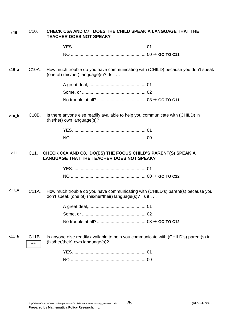#### C10. **CHECK C6A AND C7. DOES THE CHILD SPEAK A LANGUAGE THAT THE TEACHER DOES NOT SPEAK? c10**

C10A. How much trouble do you have communicating with (CHILD) because you don't speak (one of) (his/her) language(s)? Is it… **c10\_a**

C10B. Is there anyone else readily available to help you communicate with (CHILD) in (his/her) own language(s)? **c10\_b**

| ΝO |  |  |  |  |  |  |  |  |  |  |  |  |  |  |
|----|--|--|--|--|--|--|--|--|--|--|--|--|--|--|

#### C11. **CHECK C6A AND C8. DO(ES) THE FOCUS CHILD'S PARENT(S) SPEAK A LANGUAGE THAT THE TEACHER DOES NOT SPEAK? c11**

C11A. How much trouble do you have communicating with (CHILD's) parent(s) because you don't speak (one of) (his/her/their) language(s)? Is it . . . **c11\_a**

**c11\_b**

C11B. Is anyone else readily available to help you communicate with (CHILD's) parent(s) in (his/her/their) own language(s)? **GUP**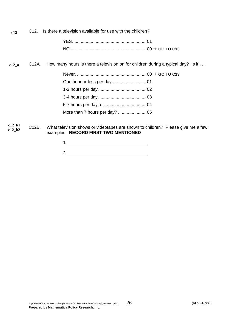C12. Is there a television available for use with the children? **c12**

C12A. How many hours is there a television on for children during a typical day? Is it . . . **c12\_a**

- C12B. What television shows or videotapes are shown to children? Please give me a few examples. **RECORD FIRST TWO MENTIONED c12\_b1 c12\_b2**
	- 1. 2.

 $\frac{1}{26}$  \\opr\shares\CRCW\FFChallenge\docs\Y3\Child Care Center Survey\_20180907.doc 26 (REV--1/7/03) **Prepared by Mathematica Policy Research, Inc.**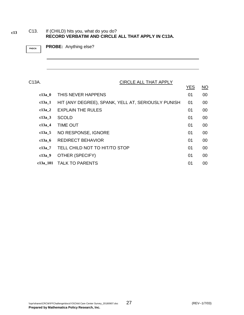#### C13. If (CHILD) hits you, what do you do? **RECORD VERBATIM AND CIRCLE ALL THAT APPLY IN C13A. c13**

**PROBE:** Anything else? **PHDCN**

#### C13A. C13A.

|          |                                                    | <b>YES</b> | NO. |
|----------|----------------------------------------------------|------------|-----|
| $c13a$ 0 | THIS NEVER HAPPENS                                 | 01         | 00  |
| $c13a$ 1 | HIT (ANY DEGREE), SPANK, YELL AT, SERIOUSLY PUNISH | 01         | 00  |
| $c13a$ 2 | <b>EXPLAIN THE RULES</b>                           | 01         | 00  |
| $c13a_3$ | <b>SCOLD</b>                                       | 01         | 00  |
| $c13a_4$ | <b>TIME OUT</b>                                    | 01         | 00  |
| $c13a$ 5 | NO RESPONSE, IGNORE                                | 01         | 00  |
| $c13a$ 6 | <b>REDIRECT BEHAVIOR</b>                           | 01         | 00  |
| $c13a$ 7 | TELL CHILD NOT TO HIT/TO STOP                      | 01         | 00  |
| $c13a$ 9 | <b>OTHER (SPECIFY)</b>                             | 01         | 00  |
| c13a 101 | <b>TALK TO PARENTS</b>                             | 01         | 00  |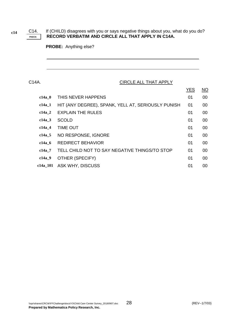#### C14. If (CHILD) disagrees with you or says negative things about you, what do you do? **RECORD VERBATIM AND CIRCLE ALL THAT APPLY IN C14A. PHDCN c14**

**PROBE:** Anything else?

#### C14A. C14A.

|          |                                                    | <b>YES</b> | NO              |
|----------|----------------------------------------------------|------------|-----------------|
| $c14a$ 0 | THIS NEVER HAPPENS                                 | 01         | 00              |
| $c14a_1$ | HIT (ANY DEGREE), SPANK, YELL AT, SERIOUSLY PUNISH | 01         | 00              |
| $c14a$ 2 | <b>EXPLAIN THE RULES</b>                           | 01         | 00              |
| $c14a$ 3 | <b>SCOLD</b>                                       | 01         | 00 <sup>2</sup> |
| $c14a$ 4 | <b>TIME OUT</b>                                    | 01         | 00              |
| $c14a$ 5 | NO RESPONSE, IGNORE                                | 01         | 00 <sup>1</sup> |
| $c14a$ 6 | <b>REDIRECT BEHAVIOR</b>                           | 01         | 00              |
| $c14a$ 7 | TELL CHILD NOT TO SAY NEGATIVE THINGS/TO STOP      | 01         | 00              |
| $c14a_9$ | <b>OTHER (SPECIFY)</b>                             | 01         | 00 <sup>1</sup> |
| c14a_101 | ASK WHY, DISCUSS                                   | 01         | 00              |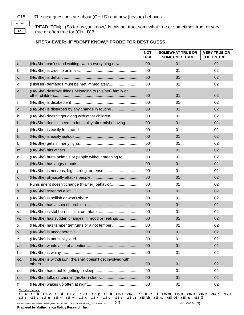C15. The next questions are about (CHILD) and how (he/she) behaves.

**CBC 2000**

**BPI**

(READ ITEM). (So far as you know,) Is this not true, somewhat true or sometimes true, or very true or often true for (CHILD)?

## **INTERVIEWER: IF "DON'T KNOW," PROBE FOR BEST GUESS.**

|                |                                                                                                                                                                                                                                                                                                      | <b>NOT</b><br><b>TRUE</b> | <b>SOMEWHAT TRUE OR</b><br><b>SOMETIMES TRUE</b> | <b>VERY TRUE OR</b><br><b>OFTEN TRUE</b> |           |
|----------------|------------------------------------------------------------------------------------------------------------------------------------------------------------------------------------------------------------------------------------------------------------------------------------------------------|---------------------------|--------------------------------------------------|------------------------------------------|-----------|
| a.             | (He/She) can't stand waiting, wants everything now                                                                                                                                                                                                                                                   | 00                        | 01                                               | 02                                       |           |
| b.             |                                                                                                                                                                                                                                                                                                      | 00                        | 01                                               | 02                                       |           |
| C.             |                                                                                                                                                                                                                                                                                                      | $00\,$                    | 01                                               | 02                                       |           |
| d.             |                                                                                                                                                                                                                                                                                                      | 00                        | 01                                               | 02                                       |           |
| е.             | (He/She) destroys things belonging to (his/her) family or                                                                                                                                                                                                                                            | $00\,$                    | 01                                               | 02                                       |           |
| f.             |                                                                                                                                                                                                                                                                                                      | 00                        | 01                                               | 02                                       |           |
| g.             | (He/She) is disturbed by any change in routine                                                                                                                                                                                                                                                       | 00                        | 01                                               | 02                                       |           |
| h.             | (He/She) doesn't get along with other children                                                                                                                                                                                                                                                       | 00                        | 01                                               | 02                                       |           |
| i.             | (He/She) doesn't seem to feel guilty after misbehaving                                                                                                                                                                                                                                               | $00\,$                    | 01                                               | 02                                       |           |
| J.             |                                                                                                                                                                                                                                                                                                      | 00                        | 01                                               | 02                                       |           |
| k.             |                                                                                                                                                                                                                                                                                                      | 00                        | 01                                               | 02                                       |           |
| I.             |                                                                                                                                                                                                                                                                                                      | 00                        | 01                                               | 02                                       |           |
| m.             |                                                                                                                                                                                                                                                                                                      | 00                        | 01                                               | 02                                       |           |
| n.             | (He/She) hurts animals or people without meaning to                                                                                                                                                                                                                                                  | 00                        | 01                                               | 02                                       |           |
| о.             |                                                                                                                                                                                                                                                                                                      | $00\,$                    | 01                                               | 02                                       |           |
| p.             |                                                                                                                                                                                                                                                                                                      | 00                        | 01                                               | 02                                       |           |
| q.             |                                                                                                                                                                                                                                                                                                      | $00\,$                    | 01                                               | 02                                       |           |
| r.             | Punishment doesn't change (his/her) behavior                                                                                                                                                                                                                                                         | 00                        | 01                                               | 02                                       |           |
| S.             |                                                                                                                                                                                                                                                                                                      | 00                        | 01                                               | 02                                       |           |
| t.             |                                                                                                                                                                                                                                                                                                      | 00                        | 01                                               | 02                                       |           |
| u.             |                                                                                                                                                                                                                                                                                                      | 00                        | 01                                               | 02                                       |           |
| v.             |                                                                                                                                                                                                                                                                                                      | 00                        | 01                                               | 02                                       |           |
| W.             | (He/She) has sudden changes in mood or feelings                                                                                                                                                                                                                                                      | $00\,$                    | 01                                               | 02                                       |           |
| х.             |                                                                                                                                                                                                                                                                                                      | 00                        | 01                                               | 02                                       |           |
| у.             |                                                                                                                                                                                                                                                                                                      | 00                        | 01                                               | 02                                       |           |
| z.             |                                                                                                                                                                                                                                                                                                      | $00\,$                    | 01                                               | 02                                       |           |
| aa.            |                                                                                                                                                                                                                                                                                                      | 00                        | 01                                               | 02                                       |           |
| bb.            |                                                                                                                                                                                                                                                                                                      | 00                        | 01                                               | 02                                       |           |
| CC.            | (He/She) is withdrawn; (he/she) doesn't get involved with                                                                                                                                                                                                                                            | $00\,$                    | 01                                               | 02                                       |           |
| dd.            |                                                                                                                                                                                                                                                                                                      | 00                        | 01                                               | 02                                       |           |
| ee.            |                                                                                                                                                                                                                                                                                                      | $00\,$                    | 01                                               | 02                                       |           |
| ff.            |                                                                                                                                                                                                                                                                                                      | 00                        | 01                                               | 02                                       |           |
| c15_a<br>c15 s | Variable names:<br>c15_b c15_c c15_d c15_e c15_f c15_g c15_h c15_i c15_j c15_k c15_l c15_m c15_n c15_o c15_p c15_q<br>c15_t c15_u c15_v c15_w c15_x c15_y c15_z c15_y c15_aa c15_bb c15_cc c15_dd c15_ee c15_ff<br>29<br>\\opr\shares\CRCW\FFChallenge\docs\Y3\Child Care Center Survey_20180907.doc |                           | (REV--1/7/03)                                    |                                          | c $15$ _r |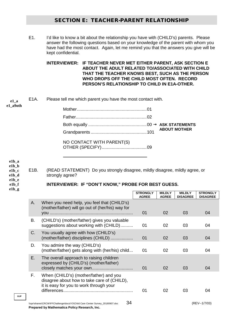# SECTION E: TEACHER-PARENT RELATIONSHIP

E1. I'd like to know a bit about the relationship you have with (CHILD's) parents. Please answer the following questions based on your knowledge of the parent with whom you have had the most contact. Again, let me remind you that the answers you give will be kept confidential.

**INTERVIEWER: IF TEACHER NEVER MET EITHER PARENT, ASK SECTION E ABOUT THE ADULT RELATED TO/ASSOCIATED WITH CHILD THAT THE TEACHER KNOWS BEST, SUCH AS THE PERSON WHO DROPS OFF THE CHILD MOST OFTEN. RECORD PERSON'S RELATIONSHIP TO CHILD IN E1A-OTHER.**

| $e1_a$                                    | $E1A$ .<br>Please tell me which parent you have the most contact with. |                                                                                                                                  |                                 |                               |                                  |                                    |
|-------------------------------------------|------------------------------------------------------------------------|----------------------------------------------------------------------------------------------------------------------------------|---------------------------------|-------------------------------|----------------------------------|------------------------------------|
| e1 a9oth                                  |                                                                        |                                                                                                                                  |                                 |                               |                                  |                                    |
|                                           |                                                                        |                                                                                                                                  |                                 |                               |                                  |                                    |
|                                           |                                                                        |                                                                                                                                  |                                 |                               |                                  |                                    |
|                                           |                                                                        |                                                                                                                                  |                                 |                               | <b>ABOUT MOTHER</b>              |                                    |
|                                           |                                                                        | NO CONTACT WITH PARENT(S)                                                                                                        |                                 |                               |                                  |                                    |
| $e1b_$ a<br>$e1b_b$<br>$e1b_c$<br>$e1b_d$ | E1B.                                                                   | (READ STATEMENT) Do you strongly disagree, mildly disagree, mildly agree, or<br>strongly agree?                                  |                                 |                               |                                  |                                    |
| $e1b_e$<br>$e1b_f$<br>$e1b_g$             |                                                                        | INTERVIEWER: IF "DON'T KNOW," PROBE FOR BEST GUESS.                                                                              |                                 |                               |                                  |                                    |
|                                           |                                                                        |                                                                                                                                  | <b>STRONGLY</b><br><b>AGREE</b> | <b>MILDLY</b><br><b>AGREE</b> | <b>MILDLY</b><br><b>DISAGREE</b> | <b>STRONGLY</b><br><b>DISAGREE</b> |
|                                           | A.                                                                     | When you need help, you feel that (CHILD's)<br>(mother/father) will go out of (her/his) way for                                  | 01                              | 02                            | 03                               | 04                                 |
|                                           | В.                                                                     | (CHILD's) (mother/father) gives you valuable<br>suggestions about working with (CHILD)                                           | 01                              | 02                            | 03                               | 04                                 |
|                                           | C.                                                                     | You usually agree with how (CHILD's)<br>(mother/father) disciplines (CHILD)                                                      | 01                              | 02                            | 03                               | 04                                 |
|                                           | D.                                                                     | You admire the way (CHILD's)<br>(mother/father) gets along with (her/his) child                                                  | 01                              | 02                            | 03                               | 04                                 |
|                                           | Ε.                                                                     | The overall approach to raising children<br>expressed by (CHILD's) (mother/father)                                               | 01                              | 02                            | 03                               | 04                                 |
| GUP                                       | F.                                                                     | When (CHILD's) (mother/father) and you<br>disagree about how to take care of (CHILD),<br>it is easy for you to work through your | 01                              | 02                            | 03                               | 04                                 |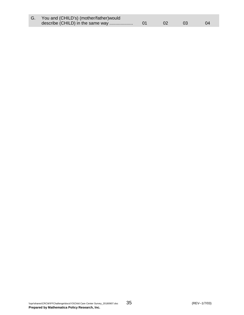| G. You and (CHILD's) (mother/father) would |  |  |
|--------------------------------------------|--|--|
|                                            |  |  |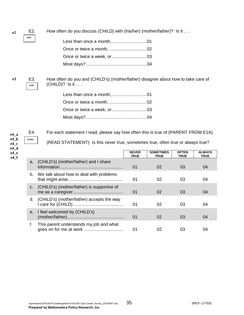E2. How often do you discuss (CHILD) with (his/her) (mother/father)? Is it . . .

**e3**

**e2**

**GUP**

**GUP**

E3. How often do you and (CHILD's) (mother/father) disagree about how to take care of  $(CHILD)?$  Is it  $\ldots$ 

**e4\_a e4\_b e4\_c e4\_d e4\_e e4\_f Emlen**

E4. For each statement I read, please say how often this is true of (PARENT FROM E1A).

(READ STATEMENT) Is this never true, sometimes true, often true or always true?

|             |                                            | <b>NEVER</b><br><b>TRUE</b> | <b>SOMETIMES</b><br><b>TRUE</b> | <b>OFTEN</b><br><b>TRUE</b> | <b>ALWAYS</b><br><b>TRUE</b> |
|-------------|--------------------------------------------|-----------------------------|---------------------------------|-----------------------------|------------------------------|
| a.          | (CHILD's) (mother/father) and I share      | 01                          | 02                              | 03                          | 04                           |
| b.          | We talk about how to deal with problems    | 01                          | 02                              | 03                          | 04                           |
| $C_{\cdot}$ | (CHILD's) (mother/father) is supportive of | 01                          | 02                              | 03                          | 04                           |
| d.          | (CHILD's) (mother/father) accepts the way  | 01                          | 02                              | 03                          | 04                           |
| е.          | I feel welcomed by (CHILD's)               | 01                          | 02                              | 03                          | 04                           |
| f.          | This parent understands my job and what    | 01                          | 02                              | 03                          | 04                           |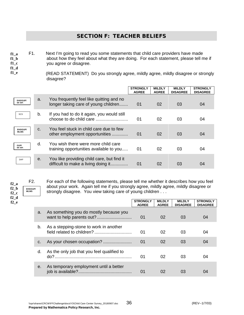# SECTION F: TEACHER BELIEFS

F1. Next I'm going to read you some statements that child care providers have made about how they feel about what they are doing. For each statement, please tell me if you agree or disagree. **f1\_a f1\_b f1\_c f1\_d**

(READ STATEMENT) Do you strongly agree, mildly agree, mildly disagree or strongly disagree?

|                         |                |                                                                                   | <b>STRONGLY</b><br><b>AGREE</b> | <b>MILDLY</b><br><b>AGREE</b> | <b>MILDLY</b><br><b>DISAGREE</b> | <b>STRONGLY</b><br><b>DISAGREE</b> |
|-------------------------|----------------|-----------------------------------------------------------------------------------|---------------------------------|-------------------------------|----------------------------------|------------------------------------|
| EHS/GUP/<br>WI WS       | a.             | You frequently feel like quitting and no<br>longer taking care of young children  | 01                              | 02                            | 03                               | 04                                 |
| SCS                     | b.             | If you had to do it again, you would still                                        | 01                              | 02                            | 03                               | 04                                 |
| EHS/GUP/<br><b>WLWS</b> | C <sub>1</sub> | You feel stuck in child care due to few<br>other employment opportunities         | 01                              | 02                            | 03                               | 04                                 |
| GUP/<br><b>WI WS</b>    | d.             | You wish there were more child care<br>training opportunities available to you    | 01                              | 02                            | 03                               | 04                                 |
| DAP                     | е.             | You like providing child care, but find it<br>difficult to make a living doing it | 01                              | 02                            | 03                               | 04                                 |

**f2\_a f2\_b f2\_c EHS/GUP/ WLWS**

**f2\_d f2\_e**

**f1\_e**

F2. For each of the following statements, please tell me whether it describes how you feel about your work. Again tell me if you strongly agree, mildly agree, mildly disagree or strongly disagree. You view taking care of young children . . .

|    |                                            | <b>STRONGLY</b><br><b>AGREE</b> | <b>MILDLY</b><br><b>AGREE</b> | <b>MILDLY</b><br><b>DISAGREE</b> | <b>STRONGLY</b><br><b>DISAGREE</b> |
|----|--------------------------------------------|---------------------------------|-------------------------------|----------------------------------|------------------------------------|
| a. | As something you do mostly because you     | 01                              | 02                            | 03                               | 04                                 |
| b. | As a stepping-stone to work in another     | 01                              | 02                            | 03                               | 04                                 |
| C. |                                            | 01                              | 02                            | 03                               | 04                                 |
| d. | As the only job that you feel qualified to | 01                              | 02                            | 03                               | 04                                 |
| е. | As temporary employment until a better     | 01                              | 02                            | 03                               | 04                                 |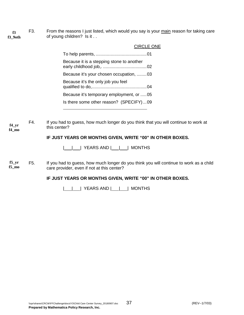F3. From the reasons I just listed, which would you say is your main reason for taking care of young children? Is it . . **f3 f3\_9oth**

|                                           | <b>CIRCLE ONE</b> |
|-------------------------------------------|-------------------|
|                                           |                   |
| Because it is a stepping stone to another |                   |
| Because it's your chosen occupation, 03   |                   |
| Because it's the only job you feel        |                   |
| Because it's temporary employment, or 05  |                   |
| Is there some other reason? (SPECIFY)09   |                   |

F4. If you had to guess, how much longer do you think that you will continue to work at this center? **f4\_yr**

#### **f4\_mo**

#### **IF JUST YEARS OR MONTHS GIVEN, WRITE "00" IN OTHER BOXES.**

| | | | | YEARS AND | | | | MONTHS

F5. If you had to guess, how much longer do you think you will continue to work as a child care provider, even if not at this center? **f5\_yr f5\_mo**

#### **IF JUST YEARS OR MONTHS GIVEN, WRITE "00" IN OTHER BOXES.**

| | | | YEARS AND | | | MONTHS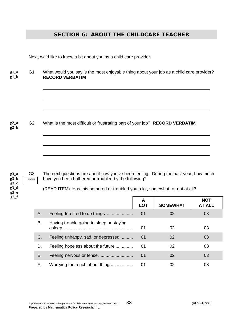# SECTION G: ABOUT THE CHILDCARE TEACHER

Next, we'd like to know a bit about you as a child care provider.

G1. What would you say is the most enjoyable thing about your job as a child care provider? **RECORD VERBATIM g1\_a g1\_b**

G2. What is the most difficult or frustrating part of your job? **RECORD VERBATIM g2\_a g2\_b**

**g3\_a g3\_b g3\_c g3\_d g3\_e g3\_f PI-DMI**

G3. The next questions are about how you've been feeling. During the past year, how much have you been bothered or troubled by the following?

(READ ITEM) Has this bothered or troubled you a lot, somewhat, or not at all?

|    |                                          | A<br>LOT | <b>SOMEWHAT</b> | <b>NOT</b><br><b>AT ALL</b> |
|----|------------------------------------------|----------|-----------------|-----------------------------|
| А. | Feeling too tired to do things           | 01       | 02              | 03                          |
| В. | Having trouble going to sleep or staying | 01       | 02              | 03                          |
| C. | Feeling unhappy, sad, or depressed       | 01       | 02              | 03                          |
| D. | Feeling hopeless about the future        | 01       | 02              | 03                          |
| Ε. | Feeling nervous or tense                 | 01       | 02              | 03                          |
| F. | Worrying too much about things           | 01       | 02              | 03                          |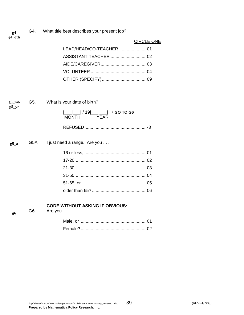G4. What title best describes your present job?

**g4 g4\_oth**

| <b>CIRCLE ONE</b> |
|-------------------|
|                   |
|                   |
|                   |
|                   |
|                   |
|                   |

\_\_\_\_\_\_\_\_\_\_\_\_\_\_\_\_\_\_\_\_\_\_\_\_\_\_\_\_\_\_\_\_\_\_\_\_

G5. What is your date of birth? **g5\_mo g5\_yr**

|\_\_\_|\_\_\_| / 19|\_\_\_|\_\_\_| **→ GO TO G6** MONTH YEAR

REFUSED..................................................-3

G5A. I just need a range. Are you . . . **g5\_a**

#### **CODE WITHOUT ASKING IF OBVIOUS:**

**g6**

G6. Are you . . .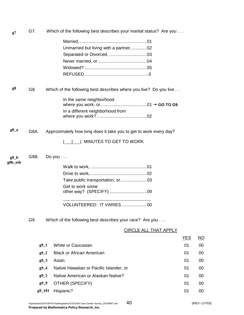| g7       | G7.  |                 | Which of the following best describes your marital status? Are you |            |                           |
|----------|------|-----------------|--------------------------------------------------------------------|------------|---------------------------|
|          |      |                 |                                                                    |            |                           |
|          |      |                 | Unmarried but living with a partner, 02                            |            |                           |
|          |      |                 |                                                                    |            |                           |
|          |      |                 |                                                                    |            |                           |
|          |      |                 |                                                                    |            |                           |
|          |      |                 |                                                                    |            |                           |
| g8       | G8.  |                 | Which of the following best describes where you live? Do you live  |            |                           |
|          |      |                 | In the same neighborhood                                           |            |                           |
|          |      |                 |                                                                    |            |                           |
|          |      |                 | In a different neighborhood from                                   |            |                           |
|          |      |                 |                                                                    |            |                           |
| $g_{8a}$ | G8A. |                 | Approximately how long does it take you to get to work every day?  |            |                           |
|          |      |                 | MINUTES TO GET TO WORK                                             |            |                           |
| $g8_b$   | G8B. | Do you $\dots$  |                                                                    |            |                           |
| g8b_oth  |      |                 |                                                                    |            |                           |
|          |      |                 |                                                                    |            |                           |
|          |      |                 |                                                                    |            |                           |
|          |      |                 | Get to work some                                                   |            |                           |
|          |      |                 |                                                                    |            |                           |
|          |      |                 | VOLUNTEERED: IT VARIES<br>.00                                      |            |                           |
|          | G9.  |                 | Which of the following best describes your race? Are you           |            |                           |
|          |      |                 | <b>CIRCLE ALL THAT APPLY</b>                                       |            |                           |
|          |      |                 |                                                                    | <u>YES</u> | $\underline{\mathsf{NO}}$ |
|          |      | $g9_1$          | White or Caucasian                                                 | 01         | $00\,$                    |
|          |      | $g9_2$          | <b>Black or African American</b>                                   | 01         | 00                        |
|          |      | $g9_3$<br>Asian |                                                                    | 01         | 00                        |
|          |      | $g9_4$          | Native Hawaiian or Pacific Islander, or                            | 01         | 00                        |
|          |      | $g9_{-}5$       | Native American or Alaskan Native?                                 | 01         | 00                        |
|          |      | $g9_9$          | OTHER (SPECIFY)                                                    | 01         | 00                        |
|          |      |                 |                                                                    |            |                           |

**g9\_101** Hispanic? 01 00

 $\sqrt{\frac{1}{2}}$ **Prepared by Mathematica Policy Research, Inc.**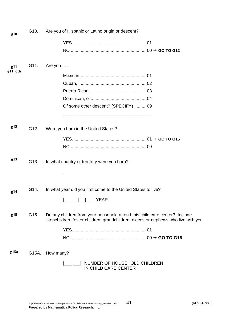| g10        | G10.              | Are you of Hispanic or Latino origin or descent?                                                                                                                 |
|------------|-------------------|------------------------------------------------------------------------------------------------------------------------------------------------------------------|
|            |                   |                                                                                                                                                                  |
|            |                   |                                                                                                                                                                  |
| g11        | G11.              | Are you $\dots$                                                                                                                                                  |
| $g11$ _oth |                   |                                                                                                                                                                  |
|            |                   |                                                                                                                                                                  |
|            |                   |                                                                                                                                                                  |
|            |                   |                                                                                                                                                                  |
|            |                   | Of some other descent? (SPECIFY) 09                                                                                                                              |
|            |                   |                                                                                                                                                                  |
| g12        | G <sub>12</sub> . | Were you born in the United States?                                                                                                                              |
|            |                   |                                                                                                                                                                  |
|            |                   |                                                                                                                                                                  |
| g13        | G13.              | In what country or territory were you born?                                                                                                                      |
|            |                   |                                                                                                                                                                  |
| g14        | G14.              | In what year did you first come to the United States to live?                                                                                                    |
|            |                   | <b>YEAR</b>                                                                                                                                                      |
| g15        | G15.              | Do any children from your household attend this child care center? Include<br>stepchildren, foster children, grandchildren, nieces or nephews who live with you. |
|            |                   |                                                                                                                                                                  |
|            |                   |                                                                                                                                                                  |
| g15a       | G15A.             | How many?                                                                                                                                                        |
|            |                   | NUMBER OF HOUSEHOLD CHILDREN<br>IN CHILD CARE CENTER                                                                                                             |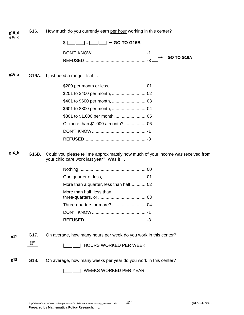G16. How much do you currently earn per hour working in this center? **g16\_d**

**g16\_c**

\$ <u>| | | | | | | | </u> → GO TO G16B

| REFUSED | $G$ O TO G16A |
|---------|---------------|

G16A. I just need a range. Is it . . . **g16\_a**

G16B. Could you please tell me approximately how much of your income was received from your child care work last year? Was it . . . **g16\_b**

| More than a quarter, less than half,02 |  |
|----------------------------------------|--|
| More than half, less than              |  |
|                                        |  |
|                                        |  |
|                                        |  |

G17. On average, how many hours per week do you work in this center? **g17**

| | | HOURS WORKED PER WEEK

G18. On average, how many weeks per year do you work in this center? **g18**

| | | | WEEKS WORKED PER YEAR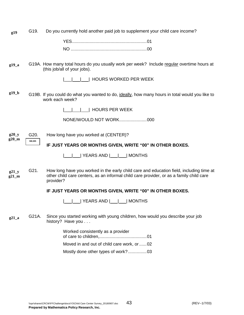G19. Do you currently hold another paid job to supplement your child care income? **g19**

G19A. How many total hours do you usually work per week? Include regular overtime hours at (this job/all of your jobs). **g19\_a**

| | | | | HOURS WORKED PER WEEK

G19B. If you could do what you wanted to do, ideally, how many hours in total would you like to work each week? **g19\_b**

|\_\_\_| | | HOURS PER WEEK

NONE/WOULD NOT WORK......................000

G20. How long have you worked at (CENTER)? **g20\_y**

**g20\_m**

**IWLWS**

**IF JUST YEARS OR MONTHS GIVEN, WRITE "00" IN OTHER BOXES.**

| | | YEARS AND | | | MONTHS

G21. How long have you worked in the early child care and education field, including time at other child care centers, as an informal child care provider, or as a family child care provider? **g21\_y g21\_m**

#### **IF JUST YEARS OR MONTHS GIVEN, WRITE "00" IN OTHER BOXES.**

| | | | YEARS AND | | | MONTHS

G21A. Since you started working with young children, how would you describe your job history? Have you . . . **g21\_a**

| Worked consistently as a provider          |  |
|--------------------------------------------|--|
|                                            |  |
| Moved in and out of child care work, or 02 |  |
|                                            |  |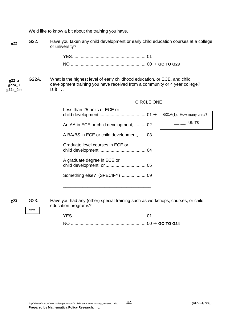We'd like to know a bit about the training you have.

G22. Have you taken any child development or early child education courses at a college or university? **g22**

G22A. What is the highest level of early childhood education, or ECE, and child development training you have received from a community or 4 year college? Is it . . . **g22\_a g22a\_1 g22a\_9ot**

#### CIRCLE ONE

| Less than 25 units of ECE or            |                          |
|-----------------------------------------|--------------------------|
|                                         | G21A(1). How many units? |
| An AA in ECE or child development, 02   | UNITS                    |
| A BA/BS in ECE or child development, 03 |                          |
| Graduate level courses in ECE or        |                          |
| A graduate degree in ECE or             |                          |
|                                         |                          |
|                                         |                          |

G23. Have you had any (other) special training such as workshops, courses, or child education programs? **g23 WLWS**

\_\_\_\_\_\_\_\_\_\_\_\_\_\_\_\_\_\_\_\_\_\_\_\_\_\_\_\_\_\_\_\_\_\_\_\_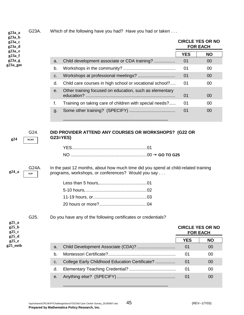| g23a_a                                                                        | G23A.                       | Which of the following have you had? Have you had or taken                                                                                                                                                |                                            |           |  |  |
|-------------------------------------------------------------------------------|-----------------------------|-----------------------------------------------------------------------------------------------------------------------------------------------------------------------------------------------------------|--------------------------------------------|-----------|--|--|
| $g23a_b$<br>$g23a_c$<br>g23a_d<br>g23a_e<br>$g23a$ _f<br>$g23a_g$<br>g23a_got |                             |                                                                                                                                                                                                           | <b>CIRCLE YES OR NO</b><br><b>FOR EACH</b> |           |  |  |
|                                                                               |                             |                                                                                                                                                                                                           | <b>YES</b>                                 | <b>NO</b> |  |  |
|                                                                               |                             | Child development associate or CDA training?<br>a.                                                                                                                                                        | 01                                         | 00        |  |  |
|                                                                               |                             | b.                                                                                                                                                                                                        | 01                                         | 00        |  |  |
|                                                                               |                             | c.                                                                                                                                                                                                        | 01                                         | 00        |  |  |
|                                                                               |                             | Child care courses in high school or vocational school?<br>d.                                                                                                                                             | 01                                         | 00        |  |  |
|                                                                               |                             | Other training focused on education, such as elementary<br>е.                                                                                                                                             | 01                                         | 00        |  |  |
|                                                                               |                             | f.<br>Training on taking care of children with special needs?                                                                                                                                             | 01                                         | 00        |  |  |
|                                                                               |                             | g.                                                                                                                                                                                                        | 01                                         | 00        |  |  |
| $g24_a$                                                                       | G24A.<br><b>GUP</b><br>G25. | In the past 12 months, about how much time did you spend at child-related training<br>programs, workshops, or conferences? Would you say<br>Do you have any of the following certificates or credentials? |                                            |           |  |  |
| $g25_a$<br>$g25$ <sub>_b</sub><br>$g25_c$<br>$g25_d$                          |                             | <b>CIRCLE YES OR NO</b><br><b>FOR EACH</b>                                                                                                                                                                |                                            |           |  |  |
| $g25$ <sup>e</sup><br>$g25$ eoth                                              |                             |                                                                                                                                                                                                           | <b>YES</b>                                 | <b>NO</b> |  |  |
|                                                                               |                             | a.                                                                                                                                                                                                        | 01                                         | 00        |  |  |
|                                                                               |                             | b.                                                                                                                                                                                                        | 01                                         | 00        |  |  |
|                                                                               |                             | College Early Childhood Education Certificate?<br>c.                                                                                                                                                      | 01                                         | 00        |  |  |
|                                                                               |                             | d.                                                                                                                                                                                                        | 01                                         | 00        |  |  |

e. Anything else? (SPECIFY) ................................................ 01 00

\_\_\_\_\_\_\_\_\_\_\_\_\_\_\_\_\_\_\_\_\_\_\_\_\_\_\_\_\_\_\_\_\_\_\_\_\_\_\_\_\_\_\_